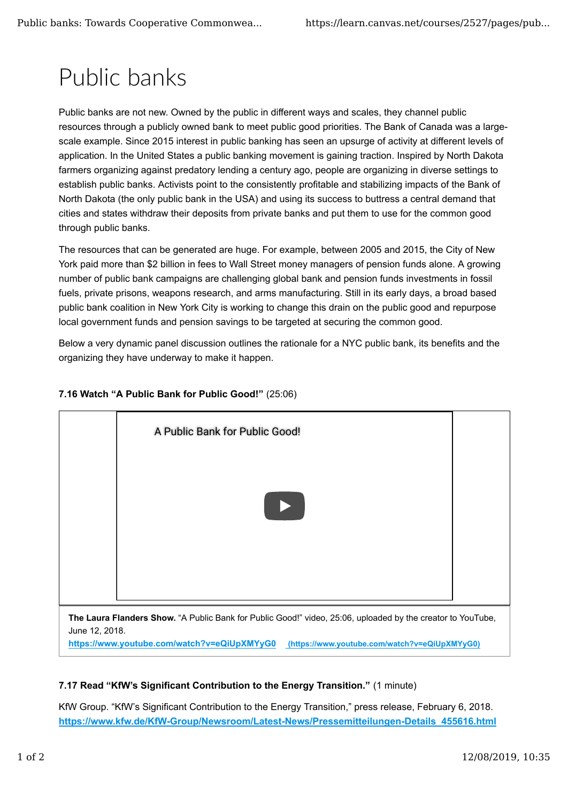## Public banks

Public banks are not new. Owned by the public in different ways and scales, they channel public resources through a publicly owned bank to meet public good priorities. The Bank of Canada was a largescale example. Since 2015 interest in public banking has seen an upsurge of activity at different levels of application. In the United States a public banking movement is gaining traction. Inspired by North Dakota farmers organizing against predatory lending a century ago, people are organizing in diverse settings to establish public banks. Activists point to the consistently profitable and stabilizing impacts of the Bank of North Dakota (the only public bank in the USA) and using its success to buttress a central demand that cities and states withdraw their deposits from private banks and put them to use for the common good through public banks.

The resources that can be generated are huge. For example, between 2005 and 2015, the City of New York paid more than \$2 billion in fees to Wall Street money managers of pension funds alone. A growing number of public bank campaigns are challenging global bank and pension funds investments in fossil fuels, private prisons, weapons research, and arms manufacturing. Still in its early days, a broad based public bank coalition in New York City is working to change this drain on the public good and repurpose local government funds and pension savings to be targeted at securing the common good.

Below a very dynamic panel discussion outlines the rationale for a NYC public bank, its benefits and the organizing they have underway to make it happen.

## **7.16 Watch "A Public Bank for Public Good!"** (25:06)



## **7.17 Read "KfW's Significant Contribution to the Energy Transition."** (1 minute)

KfW Group. "KfW's Significant Contribution to the Energy Transition," press release, February 6, 2018. **https://www.kfw.de/KfW-Group/Newsroom/Latest-News/Pressemitteilungen-Details\_455616.html**